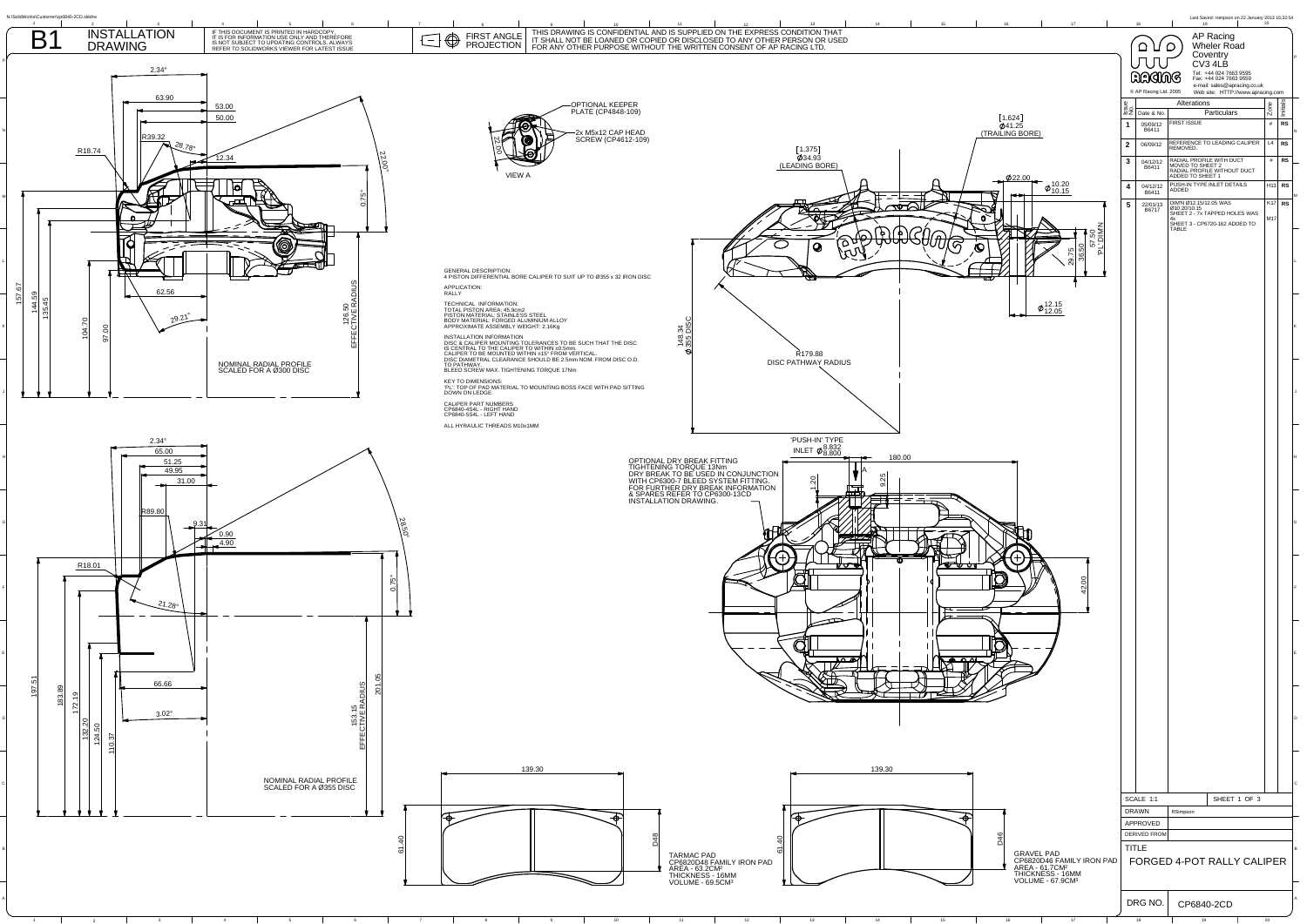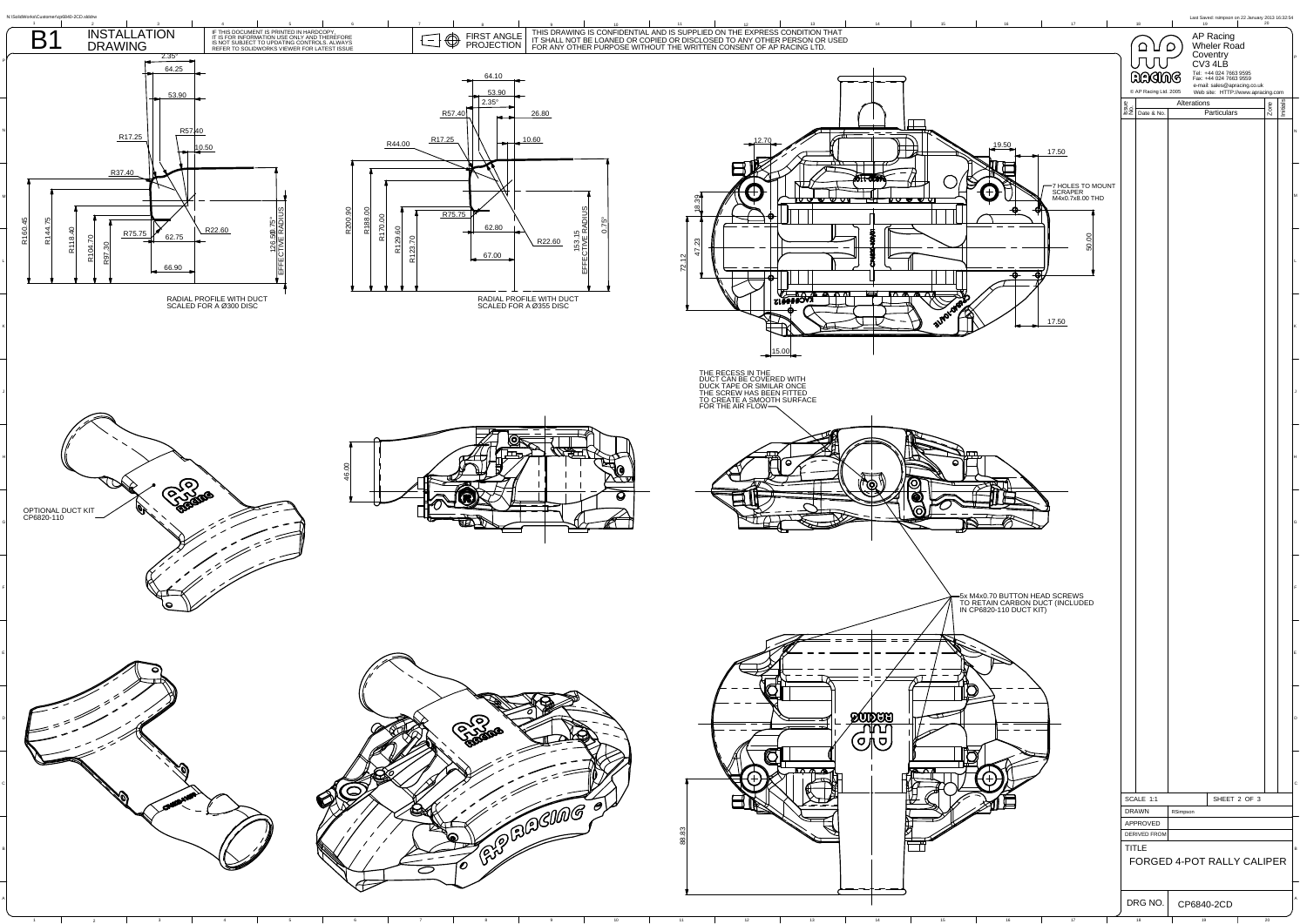